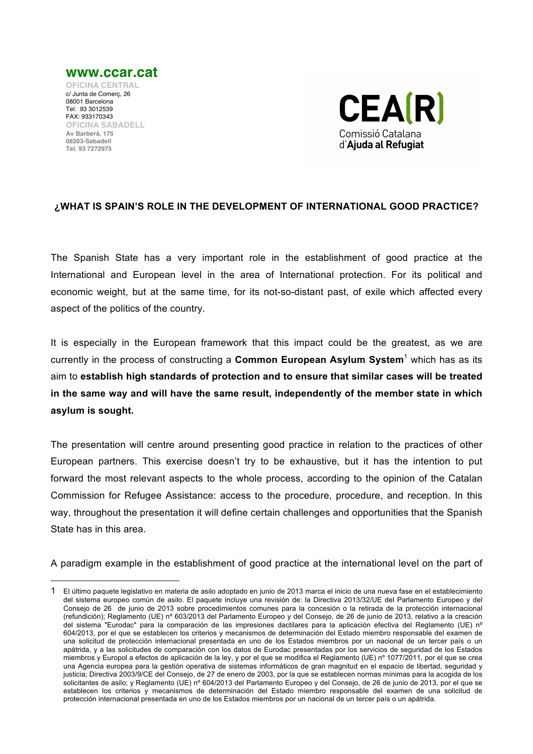

 $\overline{a}$ 



## **¿WHAT IS SPAIN'S ROLE IN THE DEVELOPMENT OF INTERNATIONAL GOOD PRACTICE?**

The Spanish State has a very important role in the establishment of good practice at the International and European level in the area of International protection. For its political and economic weight, but at the same time, for its not-so-distant past, of exile which affected every aspect of the politics of the country.

It is especially in the European framework that this impact could be the greatest, as we are currently in the process of constructing a **Common European Asylum System**<sup>1</sup> which has as its aim to **establish high standards of protection and to ensure that similar cases will be treated in the same way and will have the same result, independently of the member state in which asylum is sought.** 

The presentation will centre around presenting good practice in relation to the practices of other European partners. This exercise doesn't try to be exhaustive, but it has the intention to put forward the most relevant aspects to the whole process, according to the opinion of the Catalan Commission for Refugee Assistance: access to the procedure, procedure, and reception. In this way, throughout the presentation it will define certain challenges and opportunities that the Spanish State has in this area.

A paradigm example in the establishment of good practice at the international level on the part of

<sup>1</sup> El último paquete legislativo en materia de asilo adoptado en junio de 2013 marca el inicio de una nueva fase en el establecimiento del sistema europeo común de asilo. El paquete incluye una revisión de: la Directiva 2013/32/UE del Parlamento Europeo y del Consejo de 26 de junio de 2013 sobre procedimientos comunes para la concesión o la retirada de la protección internacional (refundición); Reglamento (UE) nº 603/2013 del Parlamento Europeo y del Consejo, de 26 de junio de 2013, relativo a la creación del sistema "Eurodac" para la comparación de las impresiones dactilares para la aplicación efectiva del Reglamento (UE) nº 604/2013, por el que se establecen los criterios y mecanismos de determinación del Estado miembro responsable del examen de una solicitud de protección internacional presentada en uno de los Estados miembros por un nacional de un tercer país o un apátrida, y a las solicitudes de comparación con los datos de Eurodac presentadas por los servicios de seguridad de los Estados miembros y Europol a efectos de aplicación de la ley, y por el que se modifica el Reglamento (UE) nº 1077/2011, por el que se crea una Agencia europea para la gestión operativa de sistemas informáticos de gran magnitud en el espacio de libertad, seguridad y justicia; Directiva 2003/9/CE del Consejo, de 27 de enero de 2003, por la que se establecen normas mínimas para la acogida de los solicitantes de asilo; y Reglamento (UE) nº 604/2013 del Parlamento Europeo y del Consejo, de 26 de junio de 2013, por el que se establecen los criterios y mecanismos de determinación del Estado miembro responsable del examen de una solicitud de protección internacional presentada en uno de los Estados miembros por un nacional de un tercer país o un apátrida.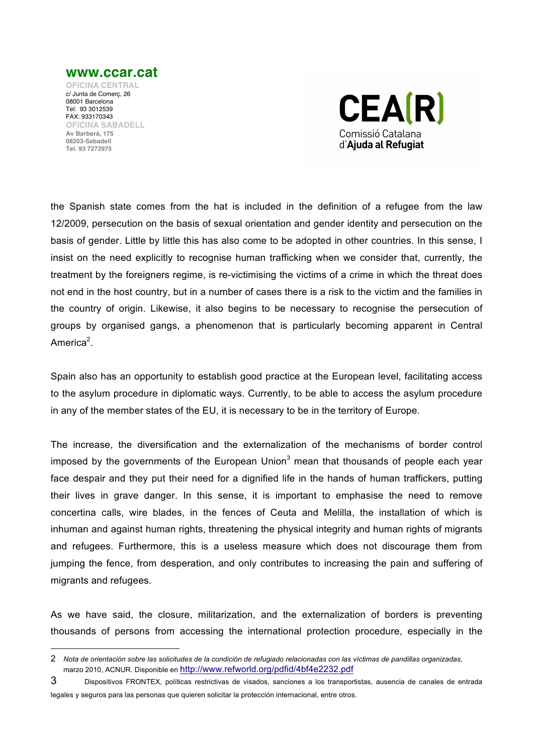

**OFICINA CENTRAL** c/ Junta de Comerç, 26 08001 Barcelona Tel: 93 3012539 FAX: 933170343 **OFICINA SABADELL Av Barberà, 175 08203-Sabadell Tel. 93 7272975**

 $\overline{a}$ 



the Spanish state comes from the hat is included in the definition of a refugee from the law 12/2009, persecution on the basis of sexual orientation and gender identity and persecution on the basis of gender. Little by little this has also come to be adopted in other countries. In this sense, I insist on the need explicitly to recognise human trafficking when we consider that, currently, the treatment by the foreigners regime, is re-victimising the victims of a crime in which the threat does not end in the host country, but in a number of cases there is a risk to the victim and the families in the country of origin. Likewise, it also begins to be necessary to recognise the persecution of groups by organised gangs, a phenomenon that is particularly becoming apparent in Central America<sup>2</sup>.

Spain also has an opportunity to establish good practice at the European level, facilitating access to the asylum procedure in diplomatic ways. Currently, to be able to access the asylum procedure in any of the member states of the EU, it is necessary to be in the territory of Europe.

The increase, the diversification and the externalization of the mechanisms of border control imposed by the governments of the European Union $3$  mean that thousands of people each vear face despair and they put their need for a dignified life in the hands of human traffickers, putting their lives in grave danger. In this sense, it is important to emphasise the need to remove concertina calls, wire blades, in the fences of Ceuta and Melilla, the installation of which is inhuman and against human rights, threatening the physical integrity and human rights of migrants and refugees. Furthermore, this is a useless measure which does not discourage them from jumping the fence, from desperation, and only contributes to increasing the pain and suffering of migrants and refugees.

As we have said, the closure, militarization, and the externalization of borders is preventing thousands of persons from accessing the international protection procedure, especially in the

<sup>2</sup> *Nota de orientación sobre las solicitudes de la condición de refugiado relacionadas con las víctimas de pandillas organizadas*, marzo 2010, ACNUR. Disponible en http://www.refworld.org/pdfid/4bf4e2232.pdf

<sup>3</sup> Dispositivos FRONTEX, políticas restrictivas de visados, sanciones a los transportistas, ausencia de canales de entrada legales y seguros para las personas que quieren solicitar la protección internacional, entre otros.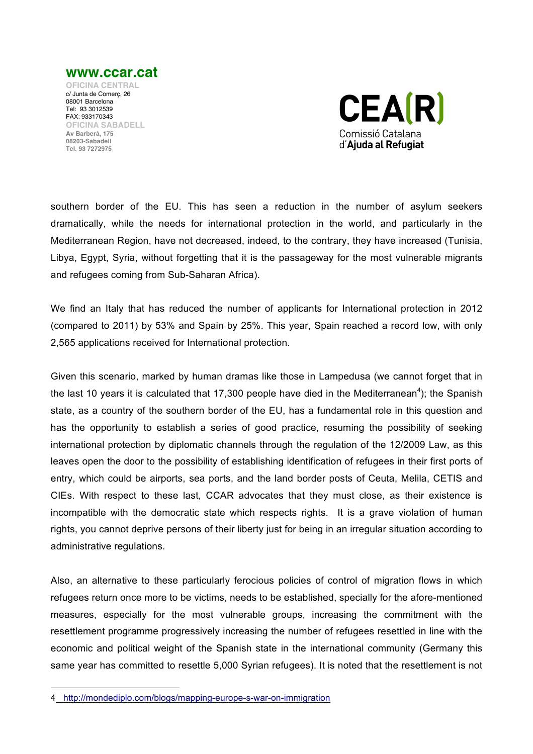

**OFICINA CENTRAL** c/ Junta de Comerç, 26 08001 Barcelona Tel: 93 3012539 FAX: 933170343 **OFICINA SABADELL Av Barberà, 175 08203-Sabadell Tel. 93 7272975**



southern border of the EU. This has seen a reduction in the number of asylum seekers dramatically, while the needs for international protection in the world, and particularly in the Mediterranean Region, have not decreased, indeed, to the contrary, they have increased (Tunisia, Libya, Egypt, Syria, without forgetting that it is the passageway for the most vulnerable migrants and refugees coming from Sub-Saharan Africa).

We find an Italy that has reduced the number of applicants for International protection in 2012 (compared to 2011) by 53% and Spain by 25%. This year, Spain reached a record low, with only 2,565 applications received for International protection.

Given this scenario, marked by human dramas like those in Lampedusa (we cannot forget that in the last 10 years it is calculated that 17,300 people have died in the Mediterranean<sup>4</sup>); the Spanish state, as a country of the southern border of the EU, has a fundamental role in this question and has the opportunity to establish a series of good practice, resuming the possibility of seeking international protection by diplomatic channels through the regulation of the 12/2009 Law, as this leaves open the door to the possibility of establishing identification of refugees in their first ports of entry, which could be airports, sea ports, and the land border posts of Ceuta, Melila, CETIS and CIEs. With respect to these last, CCAR advocates that they must close, as their existence is incompatible with the democratic state which respects rights. It is a grave violation of human rights, you cannot deprive persons of their liberty just for being in an irregular situation according to administrative regulations.

Also, an alternative to these particularly ferocious policies of control of migration flows in which refugees return once more to be victims, needs to be established, specially for the afore-mentioned measures, especially for the most vulnerable groups, increasing the commitment with the resettlement programme progressively increasing the number of refugees resettled in line with the economic and political weight of the Spanish state in the international community (Germany this same year has committed to resettle 5,000 Syrian refugees). It is noted that the resettlement is not

 $\overline{a}$ 

<sup>4</sup> http://mondediplo.com/blogs/mapping-europe-s-war-on-immigration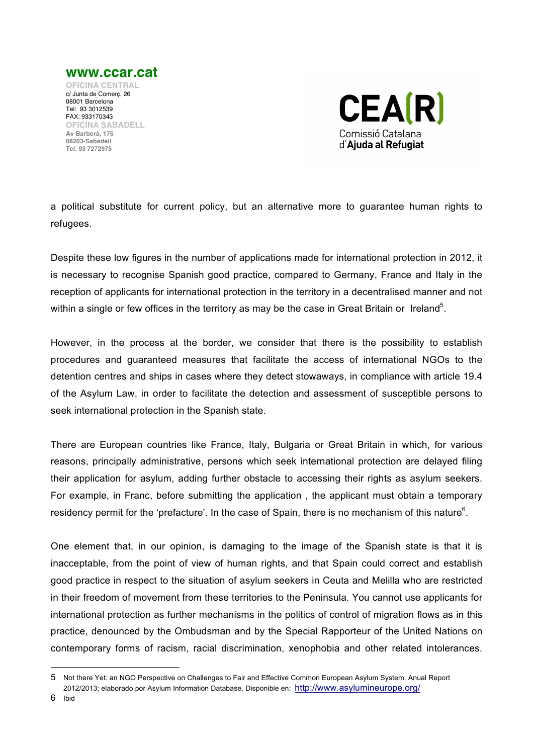

c/ Junta de Comerç, 26 08001 Barcelona Tel: 93 3012539 FAX: 933170343 **OFICINA SABADELL Av Barberà, 175 08203-Sabadell Tel. 93 7272975**



a political substitute for current policy, but an alternative more to guarantee human rights to refugees.

Despite these low figures in the number of applications made for international protection in 2012, it is necessary to recognise Spanish good practice, compared to Germany, France and Italy in the reception of applicants for international protection in the territory in a decentralised manner and not within a single or few offices in the territory as may be the case in Great Britain or Ireland<sup>5</sup>.

However, in the process at the border, we consider that there is the possibility to establish procedures and guaranteed measures that facilitate the access of international NGOs to the detention centres and ships in cases where they detect stowaways, in compliance with article 19.4 of the Asylum Law, in order to facilitate the detection and assessment of susceptible persons to seek international protection in the Spanish state.

There are European countries like France, Italy, Bulgaria or Great Britain in which, for various reasons, principally administrative, persons which seek international protection are delayed filing their application for asylum, adding further obstacle to accessing their rights as asylum seekers. For example, in Franc, before submitting the application , the applicant must obtain a temporary residency permit for the 'prefacture'. In the case of Spain, there is no mechanism of this nature<sup>6</sup>.

One element that, in our opinion, is damaging to the image of the Spanish state is that it is inacceptable, from the point of view of human rights, and that Spain could correct and establish good practice in respect to the situation of asylum seekers in Ceuta and Melilla who are restricted in their freedom of movement from these territories to the Peninsula. You cannot use applicants for international protection as further mechanisms in the politics of control of migration flows as in this practice, denounced by the Ombudsman and by the Special Rapporteur of the United Nations on contemporary forms of racism, racial discrimination, xenophobia and other related intolerances.

6 Ibid

 $\overline{a}$ 

<sup>5</sup> Not there Yet: an NGO Perspective on Challenges to Fair and Effective Common European Asylum System. Anual Report 2012/2013; elaborado por Asylum Information Database. Disponible en: http://www.asylumineurope.org/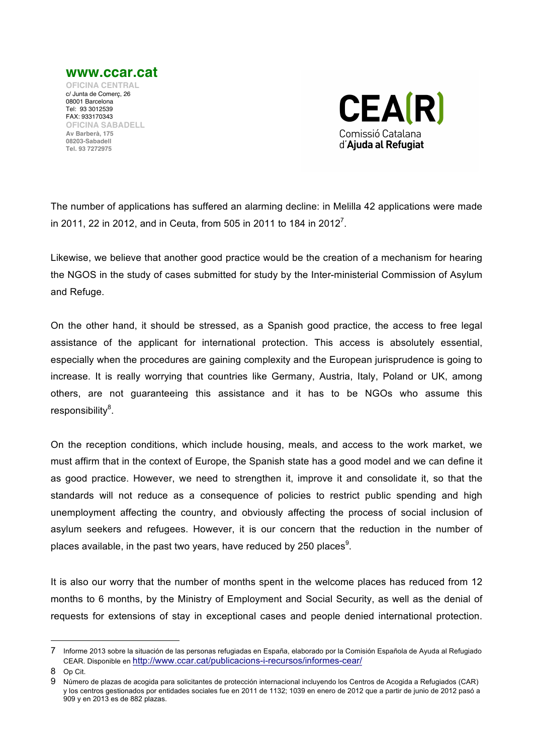

FAX: 933170343 **OFICINA SABADELL Av Barberà, 175 08203-Sabadell Tel. 93 7272975**



The number of applications has suffered an alarming decline: in Melilla 42 applications were made in 2011, 22 in 2012, and in Ceuta, from 505 in 2011 to 184 in 2012<sup>7</sup>.

Likewise, we believe that another good practice would be the creation of a mechanism for hearing the NGOS in the study of cases submitted for study by the Inter-ministerial Commission of Asylum and Refuge.

On the other hand, it should be stressed, as a Spanish good practice, the access to free legal assistance of the applicant for international protection. This access is absolutely essential, especially when the procedures are gaining complexity and the European jurisprudence is going to increase. It is really worrying that countries like Germany, Austria, Italy, Poland or UK, among others, are not guaranteeing this assistance and it has to be NGOs who assume this responsibility<sup>8</sup>.

On the reception conditions, which include housing, meals, and access to the work market, we must affirm that in the context of Europe, the Spanish state has a good model and we can define it as good practice. However, we need to strengthen it, improve it and consolidate it, so that the standards will not reduce as a consequence of policies to restrict public spending and high unemployment affecting the country, and obviously affecting the process of social inclusion of asylum seekers and refugees. However, it is our concern that the reduction in the number of places available, in the past two years, have reduced by 250 places $^9$ .

It is also our worry that the number of months spent in the welcome places has reduced from 12 months to 6 months, by the Ministry of Employment and Social Security, as well as the denial of requests for extensions of stay in exceptional cases and people denied international protection.

 $\overline{a}$ 

<sup>7</sup> Informe 2013 sobre la situación de las personas refugiadas en España, elaborado por la Comisión Española de Ayuda al Refugiado CEAR. Disponible en http://www.ccar.cat/publicacions-i-recursos/informes-cear/

<sup>8</sup> Op Cit.

<sup>9</sup> Número de plazas de acogida para solicitantes de protección internacional incluyendo los Centros de Acogida a Refugiados (CAR) y los centros gestionados por entidades sociales fue en 2011 de 1132; 1039 en enero de 2012 que a partir de junio de 2012 pasó a 909 y en 2013 es de 882 plazas.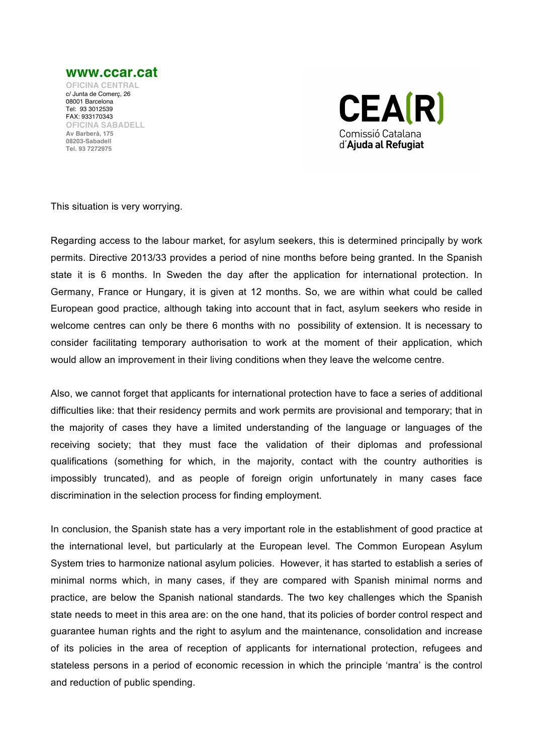

**OFICINA CENTRAL** c/ Junta de Comerç, 26 08001 Barcelona Tel: 93 3012539 FAX: 933170343 **OFICINA SABADELL Av Barberà, 175 08203-Sabadell Tel. 93 7272975**



This situation is very worrying.

Regarding access to the labour market, for asylum seekers, this is determined principally by work permits. Directive 2013/33 provides a period of nine months before being granted. In the Spanish state it is 6 months. In Sweden the day after the application for international protection. In Germany, France or Hungary, it is given at 12 months. So, we are within what could be called European good practice, although taking into account that in fact, asylum seekers who reside in welcome centres can only be there 6 months with no possibility of extension. It is necessary to consider facilitating temporary authorisation to work at the moment of their application, which would allow an improvement in their living conditions when they leave the welcome centre.

Also, we cannot forget that applicants for international protection have to face a series of additional difficulties like: that their residency permits and work permits are provisional and temporary; that in the majority of cases they have a limited understanding of the language or languages of the receiving society; that they must face the validation of their diplomas and professional qualifications (something for which, in the majority, contact with the country authorities is impossibly truncated), and as people of foreign origin unfortunately in many cases face discrimination in the selection process for finding employment.

In conclusion, the Spanish state has a very important role in the establishment of good practice at the international level, but particularly at the European level. The Common European Asylum System tries to harmonize national asylum policies. However, it has started to establish a series of minimal norms which, in many cases, if they are compared with Spanish minimal norms and practice, are below the Spanish national standards. The two key challenges which the Spanish state needs to meet in this area are: on the one hand, that its policies of border control respect and guarantee human rights and the right to asylum and the maintenance, consolidation and increase of its policies in the area of reception of applicants for international protection, refugees and stateless persons in a period of economic recession in which the principle 'mantra' is the control and reduction of public spending.